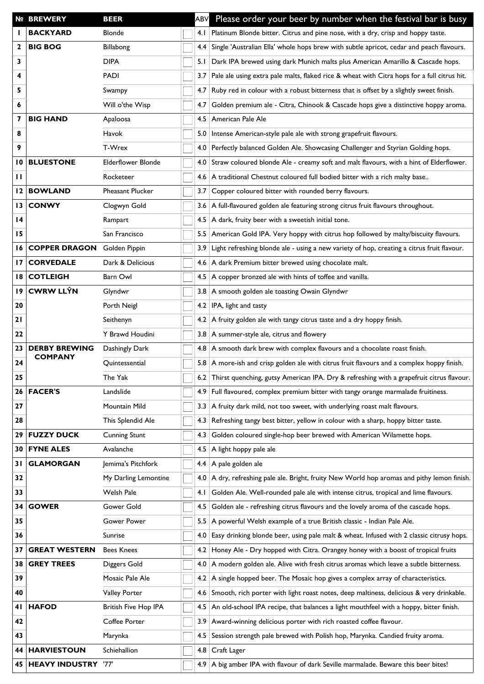|                 | <b>Nº BREWERY</b><br><b>BEER</b>                                                      |                             | ABV | Please order your beer by number when the festival bar is busy |                                                                                              |  |  |  |  |  |
|-----------------|---------------------------------------------------------------------------------------|-----------------------------|-----|----------------------------------------------------------------|----------------------------------------------------------------------------------------------|--|--|--|--|--|
|                 | <b>BACKYARD</b>                                                                       | <b>Blonde</b>               |     | 4. I                                                           | Platinum Blonde bitter. Citrus and pine nose, with a dry, crisp and hoppy taste.             |  |  |  |  |  |
| $\mathbf{2}$    | <b>BIG BOG</b>                                                                        | Billabong                   |     | 4.4                                                            | Single 'Australian Ella' whole hops brew with subtle apricot, cedar and peach flavours.      |  |  |  |  |  |
| 3               |                                                                                       | <b>DIPA</b>                 |     | 5.1                                                            | Dark IPA brewed using dark Munich malts plus American Amarillo & Cascade hops.               |  |  |  |  |  |
| 4               |                                                                                       | <b>PADI</b>                 |     | 3.7                                                            | Pale ale using extra pale malts, flaked rice & wheat with Citra hops for a full citrus hit.  |  |  |  |  |  |
| 5               |                                                                                       | Swampy                      |     | 4.7                                                            | Ruby red in colour with a robust bitterness that is offset by a slightly sweet finish.       |  |  |  |  |  |
| 6               |                                                                                       | Will o'the Wisp             |     | 4.7                                                            | Golden premium ale - Citra, Chinook & Cascade hops give a distinctive hoppy aroma.           |  |  |  |  |  |
| 7               | <b>BIG HAND</b>                                                                       | Apaloosa                    |     | 4.5                                                            | American Pale Ale                                                                            |  |  |  |  |  |
| 8               | Havok                                                                                 |                             |     | 5.0                                                            | Intense American-style pale ale with strong grapefruit flavours.                             |  |  |  |  |  |
| 9               |                                                                                       | T-Wrex                      |     | 4.0                                                            | Perfectly balanced Golden Ale. Showcasing Challenger and Styrian Golding hops.               |  |  |  |  |  |
| 10              | <b>BLUESTONE</b>                                                                      | <b>Elderflower Blonde</b>   |     | 4.0                                                            | Straw coloured blonde Ale - creamy soft and malt flavours, with a hint of Elderflower.       |  |  |  |  |  |
| $\mathbf{H}$    |                                                                                       | Rocketeer                   |     | 4.6                                                            | A traditional Chestnut coloured full bodied bitter with a rich malty base                    |  |  |  |  |  |
| 12              | <b>BOWLAND</b>                                                                        | <b>Pheasant Plucker</b>     |     | 3.7                                                            | Copper coloured bitter with rounded berry flavours.                                          |  |  |  |  |  |
| 13              | <b>CONWY</b>                                                                          | Clogwyn Gold                |     | 3.6                                                            | A full-flavoured golden ale featuring strong citrus fruit flavours throughout.               |  |  |  |  |  |
| $\overline{14}$ |                                                                                       | Rampart                     |     | 4.5                                                            | A dark, fruity beer with a sweetish initial tone.                                            |  |  |  |  |  |
| 15              |                                                                                       | San Francisco               |     | 5.5                                                            | American Gold IPA. Very hoppy with citrus hop followed by malty/biscuity flavours.           |  |  |  |  |  |
| 16              | <b>COPPER DRAGON</b>                                                                  | Golden Pippin               |     | 3.9                                                            | Light refreshing blonde ale - using a new variety of hop, creating a citrus fruit flavour.   |  |  |  |  |  |
| 17              | <b>CORVEDALE</b>                                                                      | Dark & Delicious            |     | 4.6 <sub>1</sub>                                               | A dark Premium bitter brewed using chocolate malt.                                           |  |  |  |  |  |
| 18              | <b>COTLEIGH</b>                                                                       | Barn Owl                    |     | 4.5                                                            | A copper bronzed ale with hints of toffee and vanilla.                                       |  |  |  |  |  |
| $\overline{19}$ | <b>CWRW LLŶN</b>                                                                      | Glyndwr                     |     | 3.8                                                            | A smooth golden ale toasting Owain Glyndwr                                                   |  |  |  |  |  |
| 20              |                                                                                       | Porth Neigl                 |     | 4.2                                                            | IPA, light and tasty                                                                         |  |  |  |  |  |
| 21              |                                                                                       | Seithenyn                   |     | 4.2                                                            | A fruity golden ale with tangy citrus taste and a dry hoppy finish.                          |  |  |  |  |  |
| 22              |                                                                                       | Y Brawd Houdini             |     |                                                                | 3.8 A summer-style ale, citrus and flowery                                                   |  |  |  |  |  |
| 23              | <b>DERBY BREWING</b><br>Dashingly Dark<br><b>COMPANY</b><br>Quintessential<br>The Yak |                             |     |                                                                | 4.8 A smooth dark brew with complex flavours and a chocolate roast finish.                   |  |  |  |  |  |
| 24              |                                                                                       |                             |     |                                                                | 5.8 A more-ish and crisp golden ale with citrus fruit flavours and a complex hoppy finish.   |  |  |  |  |  |
| 25              |                                                                                       |                             |     |                                                                | 6.2 Thirst quenching, gutsy American IPA. Dry & refreshing with a grapefruit citrus flavour. |  |  |  |  |  |
| 26              | <b>FACER'S</b>                                                                        | Landslide                   |     |                                                                | Full flavoured, complex premium bitter with tangy orange marmalade fruitiness.               |  |  |  |  |  |
| 27              |                                                                                       | Mountain Mild               |     | 3.3                                                            | A fruity dark mild, not too sweet, with underlying roast malt flavours.                      |  |  |  |  |  |
| 28              |                                                                                       | This Splendid Ale           |     | 4.3                                                            | Refreshing tangy best bitter, yellow in colour with a sharp, hoppy bitter taste.             |  |  |  |  |  |
| 29              | <b>FUZZY DUCK</b>                                                                     | <b>Cunning Stunt</b>        |     | 4.3                                                            | Golden coloured single-hop beer brewed with American Wilamette hops.                         |  |  |  |  |  |
| 30              | <b>FYNE ALES</b>                                                                      | Avalanche                   |     | 4.5                                                            | A light hoppy pale ale                                                                       |  |  |  |  |  |
| 31              | <b>GLAMORGAN</b>                                                                      | Jemima's Pitchfork          |     | 4.4                                                            | A pale golden ale                                                                            |  |  |  |  |  |
| 32              |                                                                                       | My Darling Lemontine        |     | 4.0                                                            | A dry, refreshing pale ale. Bright, fruity New World hop aromas and pithy lemon finish.      |  |  |  |  |  |
| 33              |                                                                                       | Welsh Pale                  |     | 4.1                                                            | Golden Ale. Well-rounded pale ale with intense citrus, tropical and lime flavours.           |  |  |  |  |  |
| 34              | <b>GOWER</b>                                                                          | Gower Gold                  |     | 4.5                                                            | Golden ale - refreshing citrus flavours and the lovely aroma of the cascade hops.            |  |  |  |  |  |
| 35              |                                                                                       | Gower Power                 |     | 5.5                                                            | A powerful Welsh example of a true British classic - Indian Pale Ale.                        |  |  |  |  |  |
| 36              |                                                                                       | Sunrise                     |     | 4.0                                                            | Easy drinking blonde beer, using pale malt & wheat. Infused with 2 classic citrusy hops.     |  |  |  |  |  |
| 37              | <b>GREAT WESTERN</b>                                                                  | <b>Bees Knees</b>           |     | 4.2                                                            | Honey Ale - Dry hopped with Citra. Orangey honey with a boost of tropical fruits             |  |  |  |  |  |
| 38              | <b>GREY TREES</b>                                                                     | Diggers Gold                |     | 4.0                                                            | A modern golden ale. Alive with fresh citrus aromas which leave a subtle bitterness.         |  |  |  |  |  |
| 39              |                                                                                       | Mosaic Pale Ale             |     | 4.2                                                            | A single hopped beer. The Mosaic hop gives a complex array of characteristics.               |  |  |  |  |  |
| 40              |                                                                                       | Valley Porter               |     | 4.6                                                            | Smooth, rich porter with light roast notes, deep maltiness, delicious & very drinkable.      |  |  |  |  |  |
| 41              | <b>HAFOD</b>                                                                          | <b>British Five Hop IPA</b> |     | 4.5                                                            | An old-school IPA recipe, that balances a light mouthfeel with a hoppy, bitter finish.       |  |  |  |  |  |
| 42              |                                                                                       | Coffee Porter               |     | 3.9                                                            | Award-winning delicious porter with rich roasted coffee flavour.                             |  |  |  |  |  |
| 43              |                                                                                       | Marynka                     |     | 4.5                                                            | Session strength pale brewed with Polish hop, Marynka. Candied fruity aroma.                 |  |  |  |  |  |
| 44              | <b>HARVIESTOUN</b>                                                                    | Schiehallion                |     | 4.8                                                            | Craft Lager                                                                                  |  |  |  |  |  |
| 45              | HEAVY INDUSTRY '77'                                                                   |                             |     | 4.9 <sub>1</sub>                                               | A big amber IPA with flavour of dark Seville marmalade. Beware this beer bites!              |  |  |  |  |  |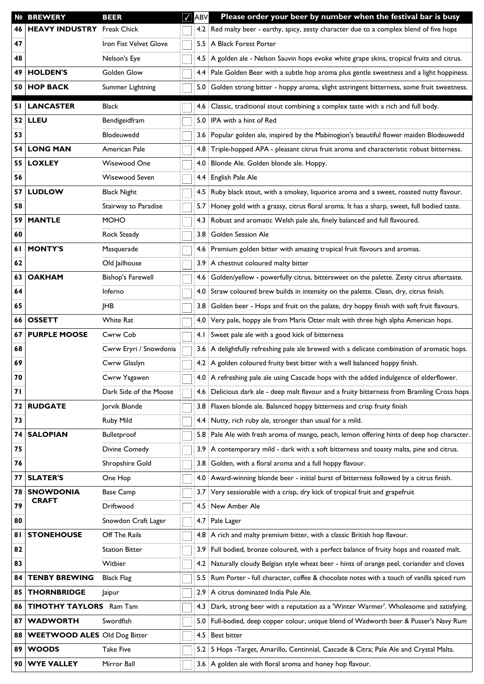|    | <b>Nº BREWERY</b>                   | <b>BEER</b>                       | √ | ABV              | Please order your beer by number when the festival bar is busy                           |  |  |  |  |  |
|----|-------------------------------------|-----------------------------------|---|------------------|------------------------------------------------------------------------------------------|--|--|--|--|--|
| 46 |                                     | <b>HEAVY INDUSTRY</b> Freak Chick |   |                  | 4.2 Red malty beer - earthy, spicy, zesty character due to a complex blend of five hops  |  |  |  |  |  |
| 47 |                                     | Iron Fist Velvet Glove            |   |                  | 5.5   A Black Forest Porter                                                              |  |  |  |  |  |
| 48 |                                     | Nelson's Eye                      |   | 4.5              | A golden ale - Nelson Sauvin hops evoke white grape skins, tropical fruits and citrus.   |  |  |  |  |  |
| 49 | <b>HOLDEN'S</b>                     | Golden Glow                       |   | 4.4              | Pale Golden Beer with a subtle hop aroma plus gentle sweetness and a light hoppiness.    |  |  |  |  |  |
| 50 | <b>HOP BACK</b>                     | Summer Lightning                  |   | 5.0 <sub>1</sub> | Golden strong bitter - hoppy aroma, slight astringent bitterness, some fruit sweetness.  |  |  |  |  |  |
| 51 | <b>LANCASTER</b>                    | <b>Black</b>                      |   | 4.6              | Classic, traditional stout combining a complex taste with a rich and full body.          |  |  |  |  |  |
| 52 | <b>LLEU</b>                         | Bendigeidfram                     |   | 5.0              | IPA with a hint of Red                                                                   |  |  |  |  |  |
| 53 |                                     | Blodeuwedd                        |   | 3.6              | Popular golden ale, inspired by the Mabinogion's beautiful flower maiden Blodeuwedd      |  |  |  |  |  |
| 54 | <b>LONG MAN</b>                     | American Pale                     |   | 4.8              | Triple-hopped APA - pleasant citrus fruit aroma and characteristic robust bitterness.    |  |  |  |  |  |
| 55 | <b>LOXLEY</b>                       | Wisewood One                      |   | 4.0              | Blonde Ale. Golden blonde ale. Hoppy.                                                    |  |  |  |  |  |
| 56 |                                     | Wisewood Seven                    |   | 4.4              | English Pale Ale                                                                         |  |  |  |  |  |
| 57 | <b>LUDLOW</b>                       | <b>Black Night</b>                |   | 4.5              | Ruby black stout, with a smokey, liquorice aroma and a sweet, roasted nutty flavour.     |  |  |  |  |  |
| 58 |                                     | Stairway to Paradise              |   | 5.7              | Honey gold with a grassy, citrus floral aroma. It has a sharp, sweet, full bodied taste. |  |  |  |  |  |
| 59 | <b>MANTLE</b>                       | <b>MOHO</b>                       |   | 4.3              | Robust and aromatic Welsh pale ale, finely balanced and full flavoured.                  |  |  |  |  |  |
| 60 |                                     | Rock Steady                       |   | 3.8 <sup>1</sup> | Golden Session Ale                                                                       |  |  |  |  |  |
| 61 | <b>MONTY'S</b>                      | Masquerade                        |   | 4.6              | Premium golden bitter with amazing tropical fruit flavours and aromas.                   |  |  |  |  |  |
| 62 |                                     | Old Jailhouse                     |   | 3.9              | A chestnut coloured malty bitter                                                         |  |  |  |  |  |
| 63 | <b>OAKHAM</b>                       | <b>Bishop's Farewell</b>          |   | 4.6              | Golden/yellow - powerfully citrus, bittersweet on the palette. Zesty citrus aftertaste.  |  |  |  |  |  |
| 64 | Inferno                             |                                   |   | 4.0              | Straw coloured brew builds in intensity on the palette. Clean, dry, citrus finish.       |  |  |  |  |  |
| 65 | <b>JHB</b>                          |                                   |   | 3.8              | Golden beer - Hops and fruit on the palate, dry hoppy finish with soft fruit flavours.   |  |  |  |  |  |
| 66 | <b>OSSETT</b>                       | White Rat                         |   | 4.0              | Very pale, hoppy ale from Maris Otter malt with three high alpha American hops.          |  |  |  |  |  |
| 67 | <b>PURPLE MOOSE</b><br>Cwrw Cob     |                                   |   | 4. I             | Sweet pale ale with a good kick of bitterness                                            |  |  |  |  |  |
| 68 | Cwrw Eryri / Snowdonia              |                                   |   | 3.6              | A delightfully refreshing pale ale brewed with a delicate combination of aromatic hops.  |  |  |  |  |  |
| 69 | Cwrw Glaslyn                        |                                   |   |                  | 4.2   A golden coloured fruity best bitter with a well balanced hoppy finish.            |  |  |  |  |  |
| 70 | Cwrw Ysgawen                        |                                   |   |                  | 4.0 A refreshing pale ale using Cascade hops with the added indulgence of elderflower.   |  |  |  |  |  |
| 71 |                                     | Dark Side of the Moose            |   | 4.6              | Delicious dark ale - deep malt flavour and a fruity bitterness from Bramling Cross hops  |  |  |  |  |  |
| 72 | <b>RUDGATE</b>                      | Jorvik Blonde                     |   | 3.8              | Flaxen blonde ale. Balanced hoppy bitterness and crisp fruity finish                     |  |  |  |  |  |
| 73 |                                     | Ruby Mild                         |   | 4.4              | Nutty, rich ruby ale, stronger than usual for a mild.                                    |  |  |  |  |  |
| 74 | <b>SALOPIAN</b>                     | Bulletproof                       |   | 5.8 <sub>1</sub> | Pale Ale with fresh aroma of mango, peach, lemon offering hints of deep hop character.   |  |  |  |  |  |
| 75 |                                     | Divine Comedy                     |   | 3.9              | A contemporary mild - dark with a soft bitterness and toasty malts, pine and citrus.     |  |  |  |  |  |
| 76 |                                     | Shropshire Gold                   |   | 3.8 <sub>1</sub> | Golden, with a floral aroma and a full hoppy flavour.                                    |  |  |  |  |  |
| 77 | <b>SLATER'S</b>                     | One Hop                           |   | 4.0              | Award-winning blonde beer - initial burst of bitterness followed by a citrus finish.     |  |  |  |  |  |
| 78 | <b>SNOWDONIA</b><br><b>CRAFT</b>    | <b>Base Camp</b>                  |   | 3.7              | Very sessionable with a crisp, dry kick of tropical fruit and grapefruit                 |  |  |  |  |  |
| 79 |                                     | Driftwood                         |   | 4.5              | New Amber Ale                                                                            |  |  |  |  |  |
| 80 |                                     | Snowdon Craft Lager               |   | 4.7              | Pale Lager                                                                               |  |  |  |  |  |
| 81 | <b>STONEHOUSE</b>                   | Off The Rails                     |   | 4.8              | A rich and malty premium bitter, with a classic British hop flavour.                     |  |  |  |  |  |
| 82 |                                     | <b>Station Bitter</b>             |   | 3.9              | Full bodied, bronze coloured, with a perfect balance of fruity hops and roasted malt.    |  |  |  |  |  |
| 83 |                                     | Witbier                           |   | 4.2              | Naturally cloudy Belgian style wheat beer - hints of orange peel, coriander and cloves   |  |  |  |  |  |
| 84 | <b>TENBY BREWING</b>                | <b>Black Flag</b>                 |   | 5.5              | Rum Porter - full character, coffee & chocolate notes with a touch of vanilla spiced rum |  |  |  |  |  |
| 85 | <b>THORNBRIDGE</b>                  | Jaipur                            |   | 2.9              | A citrus dominated India Pale Ale.                                                       |  |  |  |  |  |
| 86 | <b>TIMOTHY TAYLORS</b> Ram Tam      |                                   |   | 4.3              | Dark, strong beer with a reputation as a 'Winter Warmer'. Wholesome and satisfying.      |  |  |  |  |  |
| 87 | <b>WADWORTH</b>                     | Swordfish                         |   | 5.0              | Full-bodied, deep copper colour, unique blend of Wadworth beer & Pusser's Navy Rum       |  |  |  |  |  |
| 88 | <b>WEETWOOD ALES Old Dog Bitter</b> |                                   |   | 4.5              | Best bitter                                                                              |  |  |  |  |  |
| 89 | <b>WOODS</b>                        | <b>Take Five</b>                  |   | 5.2              | 5 Hops -Target, Amarillo, Centinnial, Cascade & Citra; Pale Ale and Crystal Malts.       |  |  |  |  |  |
| 90 | <b>WYE VALLEY</b>                   | Mirror Ball                       |   |                  | 3.6 A golden ale with floral aroma and honey hop flavour.                                |  |  |  |  |  |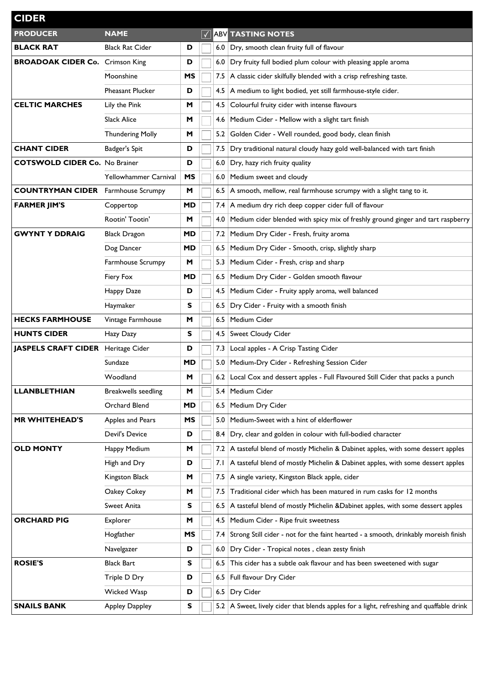| <b>CIDER</b>                              |                                 |           |     |                                                                                               |                                                                                     |  |  |  |  |
|-------------------------------------------|---------------------------------|-----------|-----|-----------------------------------------------------------------------------------------------|-------------------------------------------------------------------------------------|--|--|--|--|
| <b>PRODUCER</b>                           | <b>NAME</b>                     |           |     |                                                                                               | <b>ABV TASTING NOTES</b>                                                            |  |  |  |  |
| <b>BLACK RAT</b>                          | <b>Black Rat Cider</b>          | D         |     |                                                                                               | 6.0 Dry, smooth clean fruity full of flavour                                        |  |  |  |  |
| <b>BROADOAK CIDER Co.</b> Crimson King    |                                 | D         |     | 6.0                                                                                           | Dry fruity full bodied plum colour with pleasing apple aroma                        |  |  |  |  |
|                                           | Moonshine                       | МS        |     | 7.5                                                                                           | A classic cider skilfully blended with a crisp refreshing taste.                    |  |  |  |  |
|                                           | <b>Pheasant Plucker</b>         | D         |     | 4.5                                                                                           | A medium to light bodied, yet still farmhouse-style cider.                          |  |  |  |  |
| <b>CELTIC MARCHES</b>                     | Lily the Pink                   | M         |     | 4.5                                                                                           | Colourful fruity cider with intense flavours                                        |  |  |  |  |
|                                           | <b>Slack Alice</b>              | M         |     | 4.6                                                                                           | Medium Cider - Mellow with a slight tart finish                                     |  |  |  |  |
|                                           | <b>Thundering Molly</b>         | M         |     | 5.2                                                                                           | Golden Cider - Well rounded, good body, clean finish                                |  |  |  |  |
| <b>CHANT CIDER</b>                        | Badger's Spit                   | D         |     | 7.5                                                                                           | Dry traditional natural cloudy hazy gold well-balanced with tart finish             |  |  |  |  |
| <b>COTSWOLD CIDER Co. No Brainer</b>      |                                 | D         |     | 6.0                                                                                           | Dry, hazy rich fruity quality                                                       |  |  |  |  |
|                                           | Yellowhammer Carnival           | МS        |     | 6.0                                                                                           | Medium sweet and cloudy                                                             |  |  |  |  |
| <b>COUNTRYMAN CIDER</b> Farmhouse Scrumpy |                                 | M         |     | 6.5                                                                                           | A smooth, mellow, real farmhouse scrumpy with a slight tang to it.                  |  |  |  |  |
| <b>FARMER JIM'S</b>                       | Coppertop                       | MD        |     | 7.4                                                                                           | A medium dry rich deep copper cider full of flavour                                 |  |  |  |  |
|                                           | Rootin' Tootin'                 | M         |     | 4.0                                                                                           | Medium cider blended with spicy mix of freshly ground ginger and tart raspberry     |  |  |  |  |
| <b>GWYNT Y DDRAIG</b>                     | <b>Black Dragon</b>             | <b>MD</b> |     | 7.2                                                                                           | Medium Dry Cider - Fresh, fruity aroma                                              |  |  |  |  |
|                                           | Dog Dancer                      | <b>MD</b> |     | 6.5                                                                                           | Medium Dry Cider - Smooth, crisp, slightly sharp                                    |  |  |  |  |
|                                           | Farmhouse Scrumpy               | M         |     | 5.3                                                                                           | Medium Cider - Fresh, crisp and sharp                                               |  |  |  |  |
|                                           | Fiery Fox                       | <b>MD</b> |     | 6.5                                                                                           | Medium Dry Cider - Golden smooth flavour                                            |  |  |  |  |
|                                           | Happy Daze                      | D         |     | 4.5                                                                                           | Medium Cider - Fruity apply aroma, well balanced                                    |  |  |  |  |
|                                           | Haymaker                        | s         |     | 6.5                                                                                           | Dry Cider - Fruity with a smooth finish                                             |  |  |  |  |
| <b>HECKS FARMHOUSE</b>                    | Vintage Farmhouse               | M         |     | 6.5                                                                                           | Medium Cider                                                                        |  |  |  |  |
| <b>HUNTS CIDER</b>                        | Hazy Dazy                       |           |     | 4.5                                                                                           | Sweet Cloudy Cider                                                                  |  |  |  |  |
| <b>JASPELS CRAFT CIDER</b>                | Heritage Cider                  | D         |     | 7.3                                                                                           | Local apples - A Crisp Tasting Cider                                                |  |  |  |  |
|                                           | Sundaze                         | MD        |     | 5.0                                                                                           | Medium-Dry Cider - Refreshing Session Cider                                         |  |  |  |  |
|                                           | Woodland                        | M         |     |                                                                                               | 6.2 Local Cox and dessert apples - Full Flavoured Still Cider that packs a punch    |  |  |  |  |
| <b>LLANBLETHIAN</b>                       | <b>Breakwells seedling</b><br>M |           |     | 5.4                                                                                           | Medium Cider                                                                        |  |  |  |  |
|                                           | Orchard Blend                   | <b>MD</b> |     | 6.5                                                                                           | Medium Dry Cider                                                                    |  |  |  |  |
| MR WHITEHEAD'S                            | MS<br>Apples and Pears          |           |     | 5.0                                                                                           | Medium-Sweet with a hint of elderflower                                             |  |  |  |  |
|                                           | Devil's Device                  | D         |     | 8.4                                                                                           | Dry, clear and golden in colour with full-bodied character                          |  |  |  |  |
| <b>OLD MONTY</b>                          | Happy Medium                    | M         |     | 7.2                                                                                           | A tasteful blend of mostly Michelin & Dabinet apples, with some dessert apples      |  |  |  |  |
|                                           | High and Dry                    | D         |     | 7. I                                                                                          | A tasteful blend of mostly Michelin & Dabinet apples, with some dessert apples      |  |  |  |  |
|                                           | Kingston Black                  | M         |     | 7.5                                                                                           | A single variety, Kingston Black apple, cider                                       |  |  |  |  |
|                                           | Oakey Cokey                     | M         |     | 7.5                                                                                           | Traditional cider which has been matured in rum casks for 12 months                 |  |  |  |  |
|                                           | Sweet Anita                     | S         |     | 6.5                                                                                           | A tasteful blend of mostly Michelin &Dabinet apples, with some dessert apples       |  |  |  |  |
| <b>ORCHARD PIG</b>                        | Explorer                        | M         |     | 4.5                                                                                           | Medium Cider - Ripe fruit sweetness                                                 |  |  |  |  |
|                                           | Hogfather                       | MS        |     | 7.4                                                                                           | Strong Still cider - not for the faint hearted - a smooth, drinkably moreish finish |  |  |  |  |
|                                           | Navelgazer                      | D         |     | 6.0                                                                                           | Dry Cider - Tropical notes, clean zesty finish                                      |  |  |  |  |
| <b>ROSIE'S</b>                            | <b>Black Bart</b>               | s         | 6.5 |                                                                                               | This cider has a subtle oak flavour and has been sweetened with sugar               |  |  |  |  |
|                                           | Triple D Dry                    | D         |     | 6.5                                                                                           | Full flavour Dry Cider                                                              |  |  |  |  |
|                                           | Wicked Wasp                     | D         |     | 6.5                                                                                           | Dry Cider                                                                           |  |  |  |  |
| <b>SNAILS BANK</b>                        | <b>Appley Dappley</b>           | s         |     | A Sweet, lively cider that blends apples for a light, refreshing and quaffable drink<br>$5.2$ |                                                                                     |  |  |  |  |